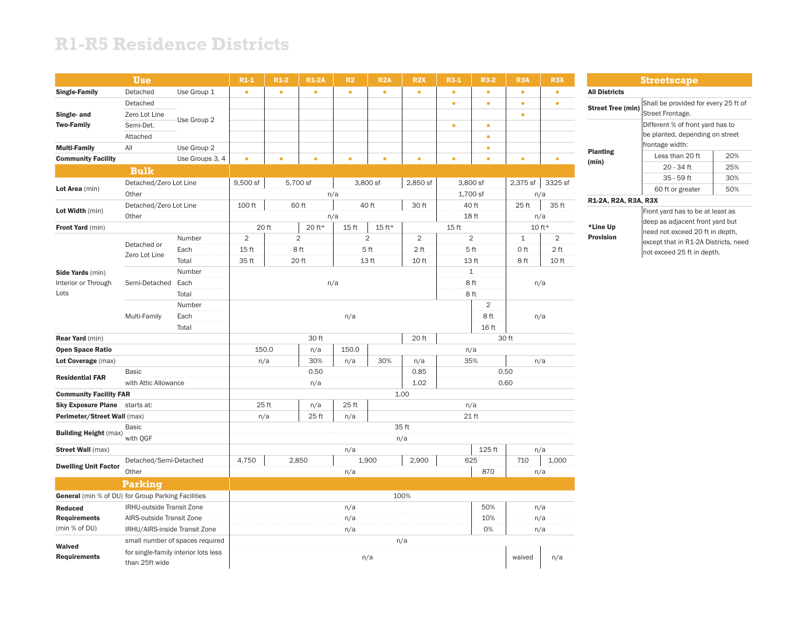## **R1-R5 Residence Districts**

|                                                    | <b>Use</b>                    |                                      | $R1-1$                | $R1-2$    | <b>R1-2A</b> | R <sub>2</sub> | R <sub>2</sub> A | <b>R2X</b>                       | $R3-1$    | <b>R3-2</b>  | R <sub>3</sub> A | R <sub>3</sub> X |  |  |
|----------------------------------------------------|-------------------------------|--------------------------------------|-----------------------|-----------|--------------|----------------|------------------|----------------------------------|-----------|--------------|------------------|------------------|--|--|
| <b>Single-Family</b>                               | Detached                      | Use Group 1                          | $\bullet$             | $\bullet$ | $\bullet$    | $\bullet$      | $\bullet$        | $\bullet$                        | $\bullet$ | $\bullet$    | $\bullet$        | $\bullet$        |  |  |
|                                                    | Detached                      |                                      |                       |           |              |                |                  |                                  | $\bullet$ | $\bullet$    | $\bullet$        | $\bullet$        |  |  |
| Single- and                                        | Zero Lot Line                 |                                      |                       |           |              |                |                  |                                  |           |              | $\bullet$        |                  |  |  |
| <b>Two-Family</b>                                  | Semi-Det.                     | Use Group 2                          |                       |           |              |                |                  |                                  | $\bullet$ | $\bullet$    |                  |                  |  |  |
|                                                    | Attached                      |                                      |                       |           |              |                |                  |                                  |           | $\bullet$    |                  |                  |  |  |
| <b>Multi-Family</b>                                | All                           | Use Group 2                          |                       |           |              |                |                  |                                  |           | $\bullet$    |                  |                  |  |  |
| <b>Community Facility</b>                          |                               | Use Groups 3, 4                      | $\bullet$             | $\bullet$ | $\bullet$    | $\bullet$      | $\bullet$        | $\bullet$                        | $\bullet$ | $\bullet$    | $\bullet$        | $\bullet$        |  |  |
|                                                    | <b>Bulk</b>                   |                                      |                       |           |              |                |                  |                                  |           |              |                  |                  |  |  |
|                                                    | Detached/Zero Lot Line        |                                      | 9,500 sf              |           | 5,700 sf     |                | 3,800 sf         | 2,850 sf                         |           | 3,800 sf     | 2,375 sf         | 3325 sf          |  |  |
| Lot Area (min)                                     | Other                         |                                      |                       |           |              | n/a            |                  |                                  |           | 1,700 sf     |                  | n/a              |  |  |
|                                                    | Detached/Zero Lot Line        |                                      | 100 ft                |           | 60 ft        |                | 40 ft            | 30 ft                            |           | 40 ft        | 25 ft            | 35 ft            |  |  |
| Lot Width (min)                                    | Other                         |                                      | n/a                   |           |              |                |                  |                                  | 18 ft     |              |                  | n/a              |  |  |
| Front Yard (min)                                   |                               |                                      |                       | 20 ft     | 20 ft*       | 15 ft          | 15 ft*           |                                  | 15 ft     |              |                  | 10 ft*           |  |  |
|                                                    |                               | Number                               | $\overline{2}$        |           | $\mathbf 2$  |                | $\overline{c}$   | $\overline{2}$<br>$\overline{2}$ |           |              | $\mathbf 1$      | $\overline{2}$   |  |  |
|                                                    | Detached or<br>Zero Lot Line  | Each                                 | 15 ft                 |           | 8 ft         |                | 5 ft             | 2 ft                             | 5 ft      |              | 0 ft             | 2 <sub>ft</sub>  |  |  |
|                                                    |                               | Total                                | 35 ft                 |           | 20 ft        | 13 ft<br>10 ft |                  |                                  | 13 ft     |              | 8ft              | 10 ft            |  |  |
| Side Yards (min)                                   |                               | Number                               |                       |           |              |                |                  |                                  |           | $\mathbf{1}$ |                  |                  |  |  |
| Interior or Through                                | Semi-Detached                 | Each                                 |                       |           | n/a          |                | 8 ft             | n/a                              |           |              |                  |                  |  |  |
| Lots                                               |                               | Total                                |                       |           |              |                |                  |                                  |           | 8 ft         |                  |                  |  |  |
|                                                    |                               | Number                               |                       |           |              | $\overline{2}$ |                  |                                  |           |              |                  |                  |  |  |
|                                                    | Multi-Family                  | Each                                 | 8 ft<br>n/a<br>n/a    |           |              |                |                  |                                  |           |              |                  |                  |  |  |
|                                                    |                               |                                      |                       |           |              |                |                  |                                  | 16 ft     |              |                  |                  |  |  |
| <b>Rear Yard</b> (min)                             |                               |                                      |                       |           | 30 ft        |                |                  | 20 ft                            |           |              | 30 ft            |                  |  |  |
| <b>Open Space Ratio</b>                            |                               |                                      | 150.0                 |           | n/a          | 150.0          |                  |                                  |           | n/a          |                  |                  |  |  |
| Lot Coverage (max)                                 |                               |                                      |                       | n/a       | 30%          | n/a            | 30%              | n/a                              |           | 35%          |                  | n/a              |  |  |
| <b>Residential FAR</b>                             | Basic                         |                                      | 0.50<br>0.85          |           |              |                |                  |                                  |           | 0.50         |                  |                  |  |  |
|                                                    | with Attic Allowance          |                                      | 1.02<br>n/a           |           |              |                |                  |                                  |           | 0.60         |                  |                  |  |  |
| <b>Community Facility FAR</b>                      |                               |                                      |                       |           |              |                |                  | 1.00                             |           |              |                  |                  |  |  |
| <b>Sky Exposure Plane</b>                          | starts at:                    |                                      | 25 ft<br>25 ft<br>n/a |           |              |                |                  |                                  | n/a       |              |                  |                  |  |  |
| Perimeter/Street Wall (max)                        |                               |                                      | n/a                   |           | 25 ft        | n/a            |                  |                                  |           | 21 ft        |                  |                  |  |  |
| <b>Building Height (max)</b>                       | <b>Basic</b>                  |                                      | 35 ft                 |           |              |                |                  |                                  |           |              |                  |                  |  |  |
|                                                    | with QGF                      |                                      | n/a                   |           |              |                |                  |                                  |           |              |                  |                  |  |  |
| <b>Street Wall (max)</b>                           |                               |                                      |                       |           |              | n/a            |                  |                                  |           | 125 ft       |                  | n/a              |  |  |
| <b>Dwelling Unit Factor</b>                        | Detached/Semi-Detached        |                                      | 4,750                 |           | 2,850        |                | 1,900            | 2,900                            |           | 625          | 710              | 1,000            |  |  |
|                                                    | Other                         |                                      |                       |           |              | n/a            |                  |                                  |           | 870          |                  | n/a              |  |  |
|                                                    | <b>Parking</b>                |                                      |                       |           |              |                |                  |                                  |           |              |                  |                  |  |  |
| General (min % of DU) for Group Parking Facilities |                               |                                      |                       |           |              |                |                  | 100%                             |           |              |                  |                  |  |  |
| <b>Reduced</b>                                     | IRHU-outside Transit Zone     |                                      | n/a                   |           |              |                |                  |                                  |           | 50%<br>n/a   |                  |                  |  |  |
| <b>Requirements</b>                                | AIRS-outside Transit Zone     |                                      | 10%<br>n/a            |           |              |                |                  |                                  |           |              |                  | n/a              |  |  |
| (min % of DU)                                      | IRHU/AIRS-inside Transit Zone |                                      |                       |           |              | n/a            |                  |                                  |           | 0%           |                  | n/a              |  |  |
| Waived                                             |                               | small number of spaces required      | n/a                   |           |              |                |                  |                                  |           |              |                  |                  |  |  |
| <b>Requirements</b>                                | than 25ft wide                | for single-family interior lots less | n/a                   |           |              |                |                  |                                  |           |              | waived           | n/a              |  |  |

**Streetscape** All Districts **Street Tree (min)** Shall be provided for every 25 ft of Street Frontage. Planting (min) Different % of front yard has to be planted, depending on street frontage width: Less than 20 ft 20% 20 - 34 ft 25% 35 - 59 ft 30% 60 ft or greater | 50%

#### R1-2A, R2A, R3A, R3X

# \*Line Up Provision

Front yard has to be at least as deep as adjacent front yard but need not exceed 20 ft in depth, except that in R1-2A Districts, need not exceed 25 ft in depth.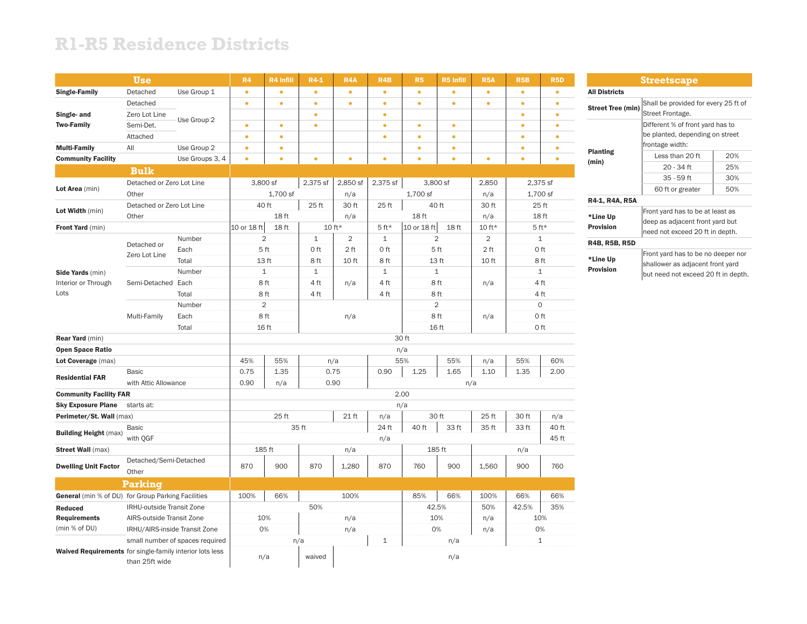## **R1-R5 Residence Districts**

|                                                    | <b>Use</b>                                                                                                           |                 | R4          | R4 Infill      | $R4-1$       | R <sub>4</sub> A | R4B          | R <sub>5</sub> | R5 Infill         | <b>R5A</b>     | R <sub>5</sub> B | <b>R5D</b>   |  |
|----------------------------------------------------|----------------------------------------------------------------------------------------------------------------------|-----------------|-------------|----------------|--------------|------------------|--------------|----------------|-------------------|----------------|------------------|--------------|--|
| <b>Single-Family</b>                               | Detached                                                                                                             | Use Group 1     | $\bullet$   | $\bullet$      | $\bullet$    | $\bullet$        | $\bullet$    | $\bullet$      | $\bullet$         | $\bullet$      | $\bullet$        | $\bullet$    |  |
|                                                    | Detached                                                                                                             |                 | $\bullet$   | $\bullet$      | $\bullet$    | $\bullet$        | $\bullet$    | $\bullet$      | $\bullet$         | $\bullet$      | $\bullet$        | $\bullet$    |  |
| Single- and                                        | Zero Lot Line                                                                                                        | Use Group 2     |             |                | $\bullet$    |                  | $\bullet$    |                |                   |                | $\bullet$        | $\bullet$    |  |
| <b>Two-Family</b>                                  | Semi-Det.                                                                                                            |                 | $\bullet$   | $\bullet$      | $\bullet$    |                  | $\bullet$    | $\bullet$      | $\bullet$         |                | $\bullet$        | $\bullet$    |  |
|                                                    | Attached                                                                                                             |                 | $\bullet$   | $\bullet$      |              |                  | $\bullet$    | $\bullet$      | $\bullet$         |                | $\bullet$        | $\bullet$    |  |
| <b>Multi-Family</b>                                | All                                                                                                                  | Use Group 2     | $\bullet$   | ٠              |              |                  |              | $\bullet$      | ۰                 |                | $\bullet$        | $\bullet$    |  |
| <b>Community Facility</b>                          |                                                                                                                      | Use Groups 3, 4 | $\bullet$   | $\bullet$      | $\bullet$    | $\bullet$        | $\bullet$    | $\bullet$      | $\bullet$         | $\bullet$      | $\bullet$        | $\bullet$    |  |
|                                                    | <b>Bulk</b>                                                                                                          |                 |             |                |              |                  |              |                |                   |                |                  |              |  |
|                                                    | Detached or Zero Lot Line                                                                                            |                 |             | 3,800 sf       | 2,375 sf     | 2,850 sf         | 2,375 sf     |                | 3,800 sf<br>2,850 |                |                  | 2,375 sf     |  |
| Lot Area (min)                                     | Other                                                                                                                |                 |             | 1,700 sf       |              | n/a              |              | 1,700 sf       |                   | n/a            |                  | 1,700 sf     |  |
| Lot Width (min)                                    | Detached or Zero Lot Line                                                                                            |                 |             | 40 ft          | 25 ft        | 30 ft            | 25 ft        |                | 40 ft             | 30 ft          |                  | 25 ft        |  |
|                                                    | Other                                                                                                                |                 |             | 18 ft          |              | n/a              |              | 18 ft          |                   | n/a            |                  | 18 ft        |  |
| <b>Front Yard</b> (min)                            |                                                                                                                      |                 | 10 or 18 ft | 18 ft          |              | 10 ft*           | $5$ ft*      | 10 or 18 ft    | 18 ft             | $10 ft*$       | $5ft*$           |              |  |
|                                                    | Detached or                                                                                                          | Number          |             | 2              | $\mathbf{1}$ | $\overline{2}$   | $\mathbf 1$  |                | 2                 | $\overline{2}$ |                  | $\mathbf{1}$ |  |
|                                                    | Zero Lot Line                                                                                                        | Each            |             | 5 ft           | 0 ft         | 2 ft             | 0 ft         |                | 5 ft              | 2ft            |                  | 0 ft         |  |
|                                                    |                                                                                                                      | Total           |             | 13 ft          | 8 ft         | 10 ft            | 8 ft         |                | 13 ft             | 10 ft          | 8 ft             |              |  |
| <b>Side Yards</b> (min)                            |                                                                                                                      | Number          | $\mathbf 1$ |                | $\mathbf{1}$ |                  | $\mathbf{1}$ |                | $1\,$             |                | $\mathbf{1}$     |              |  |
| Interior or Through                                | Semi-Detached                                                                                                        | Each            |             | 8 ft           | 4 ft         | n/a              | 4 ft         |                | 8 ft              | n/a            | 4 ft             |              |  |
| Lots                                               |                                                                                                                      | Total           | 8 ft        |                | 4 ft         |                  | 4 ft         |                | 8 ft              |                |                  | 4 ft         |  |
|                                                    | Multi-Family                                                                                                         | Number          |             | $\overline{c}$ |              |                  |              | $\overline{2}$ |                   |                | $\circ$          |              |  |
|                                                    |                                                                                                                      | Each            |             | 8 ft           |              | n/a              |              | 8 ft           |                   | n/a            |                  | 0 ft         |  |
|                                                    |                                                                                                                      | Total           |             | 16 ft          |              |                  |              |                | 16 ft             |                |                  | 0 ft         |  |
| <b>Rear Yard</b> (min)                             |                                                                                                                      |                 |             |                |              |                  |              | 30 ft          |                   |                |                  |              |  |
| <b>Open Space Ratio</b>                            |                                                                                                                      |                 |             |                |              |                  |              | n/a            |                   |                |                  |              |  |
| Lot Coverage (max)                                 |                                                                                                                      |                 | 45%         | 55%            |              | n/a              |              | 55%            | 55%               | n/a            | 55%              | 60%          |  |
| <b>Residential FAR</b>                             | <b>Basic</b>                                                                                                         |                 | 0.75        | 1.35           |              | 0.75             | 0.90         | 1.25           | 1.65              | 1.10           | 1.35             | 2.00         |  |
|                                                    | with Attic Allowance                                                                                                 |                 | 0.90        | n/a            |              | 0.90             |              |                | n/a               |                |                  |              |  |
| <b>Community Facility FAR</b>                      |                                                                                                                      |                 | 2.00        |                |              |                  |              |                |                   |                |                  |              |  |
| <b>Sky Exposure Plane</b>                          | starts at:                                                                                                           |                 |             |                |              |                  |              | n/a            |                   |                |                  |              |  |
| Perimeter/St. Wall (max)                           | <b>Basic</b>                                                                                                         |                 |             | 25 ft          | 35 ft        | 21 ft            | n/a<br>24 ft | 40 ft          | 30 ft<br>33 ft    | 25 ft<br>35 ft | 30 ft<br>33 ft   | n/a<br>40 ft |  |
| <b>Building Height (max)</b>                       | with OGF                                                                                                             |                 |             |                |              |                  | n/a          |                |                   |                |                  | 45 ft        |  |
| <b>Street Wall (max)</b>                           |                                                                                                                      |                 |             | 185 ft         |              | n/a              |              |                | 185 ft            |                | n/a              |              |  |
|                                                    | Detached/Semi-Detached                                                                                               |                 |             |                |              |                  |              |                |                   |                |                  |              |  |
| <b>Dwelling Unit Factor</b>                        | Other                                                                                                                |                 | 870         | 900            | 870          | 1,280            | 870          | 760            | 900               | 1,560          | 900              | 760          |  |
|                                                    | <b>Parking</b>                                                                                                       |                 |             |                |              |                  |              |                |                   |                |                  |              |  |
| General (min % of DU) for Group Parking Facilities |                                                                                                                      |                 | 100%        | 66%            |              | 100%             |              | 85%            | 66%               | 100%           | 66%              | 66%          |  |
| <b>Reduced</b>                                     | IRHU-outside Transit Zone                                                                                            |                 |             |                | 50%          |                  |              |                | 42.5%             | 50%            | 42.5%            | 35%          |  |
| <b>Requirements</b>                                | AIRS-outside Transit Zone                                                                                            |                 |             | 10%            |              | n/a              |              |                |                   | n/a            |                  | 10%          |  |
| (min % of DU)                                      | IRHU/AIRS-inside Transit Zone                                                                                        |                 |             | 0%             |              | n/a              |              |                | 10%<br>0%<br>n/a  |                |                  | 0%           |  |
|                                                    |                                                                                                                      |                 |             |                | n/a          |                  | $\mathbf 1$  |                | n/a               |                |                  | $\mathbf 1$  |  |
|                                                    | small number of spaces required<br><b>Waived Requirements</b> for single-family interior lots less<br>than 25ft wide |                 |             | n/a            | waived       |                  |              | n/a            |                   |                |                  |              |  |

**Streetscape** All Districts **Street Tree (min)** Shall be provided for every 25 ft of Street Frontage. Planting (min) Different % of front yard has to be planted, depending on street frontage width: Less than 20 ft $\vert$  20% 20 - 34 ft 25% 35 - 59 ft 30% 60 ft or greater | 50% R4-1, R4A, R5A Front yard has to be at least as

| *Line Up         |    |
|------------------|----|
| <b>Provision</b> | ld |
|                  | In |
| R4B, R5B, R5D    |    |

deep as adjacent front yard but need not exceed 20 ft in depth.

\*Line Up Provision

Front yard has to be no deeper nor shallower as adjacent front yard but need not exceed 20 ft in depth.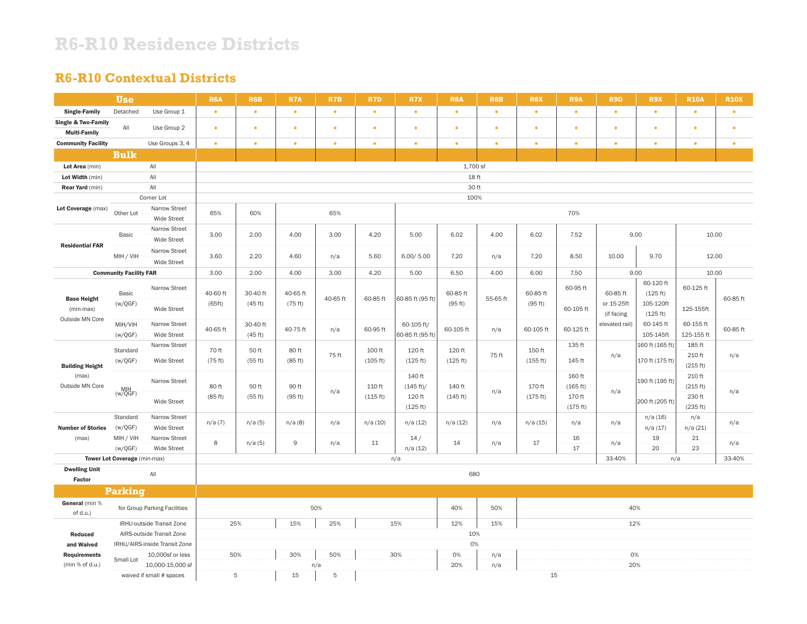## **R6-R10 Residence Districts**

### **R6-R10 Contextual Districts**

|                                 | <b>Use</b>                    |                                     | <b>R6A</b>                                    | <b>R6B</b>          | R7A       | R7B       | R7D       | R7X                            | <b>R8A</b>        | <b>R8B</b> | R8X              | R9A                | R9D            | R9X                    | <b>R10A</b>             | <b>R10X</b>              |                       |           |          |
|---------------------------------|-------------------------------|-------------------------------------|-----------------------------------------------|---------------------|-----------|-----------|-----------|--------------------------------|-------------------|------------|------------------|--------------------|----------------|------------------------|-------------------------|--------------------------|-----------------------|-----------|----------|
| <b>Single-Family</b>            | Detached                      | Use Group 1                         | $\bullet$                                     | $\bullet$           | $\bullet$ | $\bullet$ | $\bullet$ | $\bullet$                      | $\bullet$         | $\bullet$  | $\bullet$        | $\bullet$          | $\bullet$      | $\bullet$              | $\bullet$               | $\bullet$                |                       |           |          |
| Single & Two-Family             | All                           | Use Group 2                         | $\bullet$                                     | $\bullet$           | ٠         | $\bullet$ | $\bullet$ | $\bullet$                      | ٠                 | ٠          | ٠                | ٠                  | $\bullet$      | ٠                      | ٠                       | $\bullet$                |                       |           |          |
| <b>Multi-Family</b>             |                               |                                     |                                               |                     |           |           |           |                                |                   |            |                  |                    |                |                        |                         |                          |                       |           |          |
| <b>Community Facility</b>       |                               | Use Groups 3, 4                     | $\bullet$                                     | $\bullet$           | $\bullet$ | $\bullet$ | $\bullet$ | $\bullet$                      | $\bullet$         | $\bullet$  | $\bullet$        | $\bullet$          | $\bullet$      | $\bullet$              | $\bullet$               | $\bullet$                |                       |           |          |
|                                 | <b>Bulk</b>                   |                                     |                                               |                     |           |           |           |                                |                   |            |                  |                    |                |                        |                         |                          |                       |           |          |
| Lot Area (min)                  |                               | All                                 |                                               |                     |           |           |           |                                | 1,700 sf          |            |                  |                    |                |                        |                         |                          |                       |           |          |
| Lot Width (min)                 |                               | $\mathsf{All}$                      |                                               |                     |           |           |           |                                | 18 ft             |            |                  |                    |                |                        |                         |                          |                       |           |          |
| <b>Rear Yard</b> (min)          |                               | $\mathsf{All}$                      |                                               |                     |           |           |           |                                | 30 ft             |            |                  |                    |                |                        |                         |                          |                       |           |          |
|                                 |                               | Corner Lot                          |                                               |                     |           |           |           |                                | 100%              |            |                  |                    |                |                        |                         |                          |                       |           |          |
| Lot Coverage (max)              | Other Lot                     | Narrow Street<br><b>Wide Street</b> | 65%                                           | 60%                 |           | 65%       |           |                                |                   |            |                  | 70%                |                |                        |                         |                          |                       |           |          |
| <b>Residential FAR</b>          | Basic                         | Narrow Street<br>Wide Street        | 3.00                                          | 2.00                | 4.00      | 3.00      | 4.20      | 5.00                           | 6.02              | 4.00       | 6.02             | 7.52               |                | 9.00                   | 10.00                   |                          |                       |           |          |
|                                 | MIH / VIH                     | Narrow Street<br>Wide Street        | 3.60                                          | 2.20                | 4.60      | n/a       | 5.60      | 6.00 / 5.00                    | 7.20              | n/a        | 7.20             | 8.50               | 10.00          | 9.70                   | 12.00                   |                          |                       |           |          |
|                                 | <b>Community Facility FAR</b> |                                     | 3.00                                          | 2.00                | 4.00      | 3.00      | 4.20      | 5.00                           | 6.50              | 4.00       | 6.00             | 7.50               |                | 9.00                   | 10.00                   |                          |                       |           |          |
|                                 | Basic                         | Narrow Street                       | 40-60 ft                                      | 30-40 ft            | 40-65 ft  |           |           |                                | 60-85 ft          |            | 60-85 ft         | 60-95 ft           | 60-85 ft       | 60-120 ft<br>(125 ft)  | 60-125 ft               |                          |                       |           |          |
| <b>Base Height</b><br>(min-max) | (w/QGF)                       | Wide Street                         | (65ft)                                        |                     |           |           | (45 ft)   | (75 ft)                        | 40-65 ft          | 60-85 ft   | 60-85 ft (95 ft) | (95 ft)            | 55-65 ft       | (95 ft)                | 60-105 ft               | or 15-25ft<br>(if facing | 105-120ft<br>(125 ft) | 125-155ft | 60-85 ft |
| Outside MN Core                 | MIH/VIH<br>(w/QGF)            | Narrow Street<br><b>Wide Street</b> | 40-65 ft                                      | 30-40 ft<br>(45 ft) | 40-75 ft  | n/a       | 60-95 ft  | 60-105 ft/<br>60-85 ft (95 ft) | 60-105 ft         | n/a        | 60-105 ft        | 60-125 ft          | elevated rail) | 60-145 ft<br>105-145ft | 60-155 ft<br>125-155 ft | 60-85 ft                 |                       |           |          |
|                                 | Standard                      | Narrow Street                       | 70 ft                                         | 50 ft               | 80 ft     | 75 ft     | 100 ft    | 120 ft                         | 120 ft            | 75 ft      | 150 ft           | 135 ft             | n/a            | 160 ft (165 ft)        | 185 ft<br>210 ft        | n/a                      |                       |           |          |
| <b>Building Height</b>          | (w/QGF)                       | Wide Street                         | (75 ft)                                       | (55 ft)             | (85 ft)   |           | (105 ft)  | (125 ft)                       | (125 ft)          |            | (155 ft)         | 145 ft             |                | 170 ft (175 ft)        | (215 ft)                |                          |                       |           |          |
| (max)<br>Outside MN Core        | $MHH$<br>(w/QGF)              | Narrow Street                       | 80 ft                                         | 50 ft               | 90 ft     | n/a       | 110 ft    | 140 ft<br>(145 ft)/            | 140 ft            | n/a        | 170 ft           | 160 ft<br>(165 ft) | n/a            | 190 ft (195 ft)        | 210 ft<br>(215 ft)      | n/a                      |                       |           |          |
|                                 |                               | Wide Street                         | (85 ft)                                       | (55 ft)             | (95 ft)   |           | (115 ft)  | 120 ft<br>(125 ft)             | (145 ft)          |            | (175 ft)         | 170 ft<br>(175 ft) |                | 200 ft (205 ft)        | 230 ft<br>(235 ft)      |                          |                       |           |          |
| <b>Number of Stories</b>        | Standard<br>(w/QGF)           | Narrow Street<br>Wide Street        | n/a(7)                                        | n/a(5)              | n/a(8)    | n/a       | n/a(10)   | n/a(12)                        | n/a(12)           | n/a        | n/a(15)          | n/a                | n/a            | n/a(16)<br>n/a(17)     | n/a<br>n/a(21)          | n/a                      |                       |           |          |
| (max)                           | MIH / VIH<br>(w/QGF)          | Narrow Street<br>Wide Street        | 8                                             | n/a(5)              | 9         | n/a       | 11        | 14/<br>n/a(12)                 | 14                | n/a        | 17               | 16<br>17           | n/a            | 19<br>20               | 21<br>23                | n/a                      |                       |           |          |
|                                 | Tower Lot Coverage (min-max)  |                                     |                                               |                     |           |           |           | n/a                            |                   |            |                  |                    | 33-40%         | n/a                    |                         | 33-40%                   |                       |           |          |
| <b>Dwelling Unit</b><br>Factor  |                               | All                                 | 680                                           |                     |           |           |           |                                |                   |            |                  |                    |                |                        |                         |                          |                       |           |          |
|                                 | Parking                       |                                     |                                               |                     |           |           |           |                                |                   |            |                  |                    |                |                        |                         |                          |                       |           |          |
| General (min %<br>of d.u.)      |                               | for Group Parking Facilities        | 50%                                           |                     |           |           |           |                                | 40%<br>50%<br>40% |            |                  |                    |                |                        |                         |                          |                       |           |          |
| IRHU-outside Transit Zone       |                               |                                     | 25%<br>15%<br>12%<br>25%<br>15%<br>15%<br>12% |                     |           |           |           |                                |                   |            |                  |                    |                |                        |                         |                          |                       |           |          |
| Reduced                         |                               | AIRS-outside Transit Zone           |                                               | 10%                 |           |           |           |                                |                   |            |                  |                    |                |                        |                         |                          |                       |           |          |
| and Waived                      |                               | IRHU/AIRS-inside Transit Zone       |                                               |                     |           |           |           | 0%                             |                   |            |                  |                    |                |                        |                         |                          |                       |           |          |
| <b>Requirements</b>             |                               | 10,000sf or less                    | 50%                                           |                     | 30%       | 50%       |           | 30%                            | 0%                | n/a        | 0%               |                    |                |                        |                         |                          |                       |           |          |
| (min % of d.u.)                 | Small Lot                     | 10,000-15,000 sf                    |                                               |                     |           | n/a       |           |                                | 20%               | n/a        |                  |                    | 20%            |                        |                         |                          |                       |           |          |
|                                 | waived if small # spaces      |                                     |                                               | 5                   | 15        | 5         | 15        |                                |                   |            |                  |                    |                |                        |                         |                          |                       |           |          |